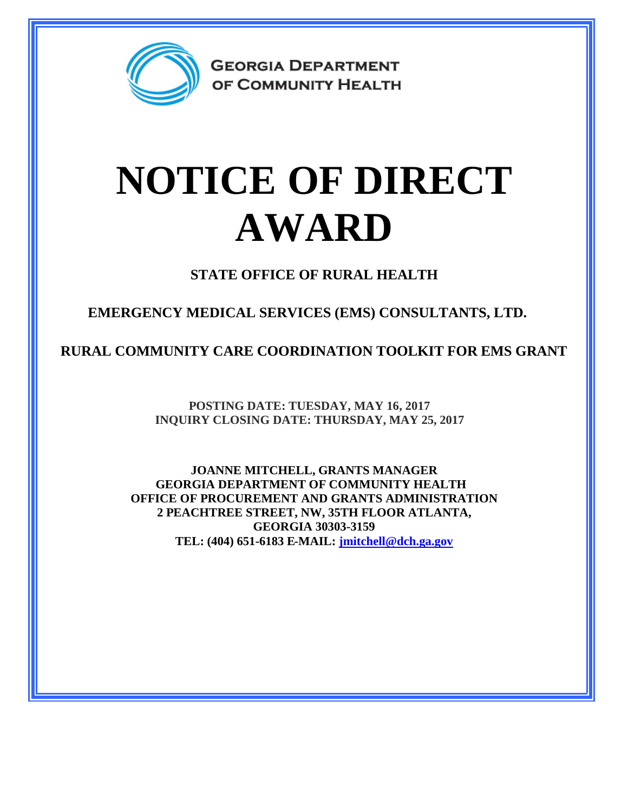

**GEORGIA DEPARTMENT** OF COMMUNITY HEALTH

## **NOTICE OF DIRECT AWARD**

**STATE OFFICE OF RURAL HEALTH**

**EMERGENCY MEDICAL SERVICES (EMS) CONSULTANTS, LTD.**

**RURAL COMMUNITY CARE COORDINATION TOOLKIT FOR EMS GRANT**

**POSTING DATE: TUESDAY, MAY 16, 2017 INQUIRY CLOSING DATE: THURSDAY, MAY 25, 2017**

**JOANNE MITCHELL, GRANTS MANAGER GEORGIA DEPARTMENT OF COMMUNITY HEALTH OFFICE OF PROCUREMENT AND GRANTS ADMINISTRATION 2 PEACHTREE STREET, NW, 35TH FLOOR ATLANTA, GEORGIA 30303-3159 TEL: (404) 651-6183 E-MAIL: [jmitchell@dch.ga.gov](mailto:jmitchell@dch.ga.gov)**